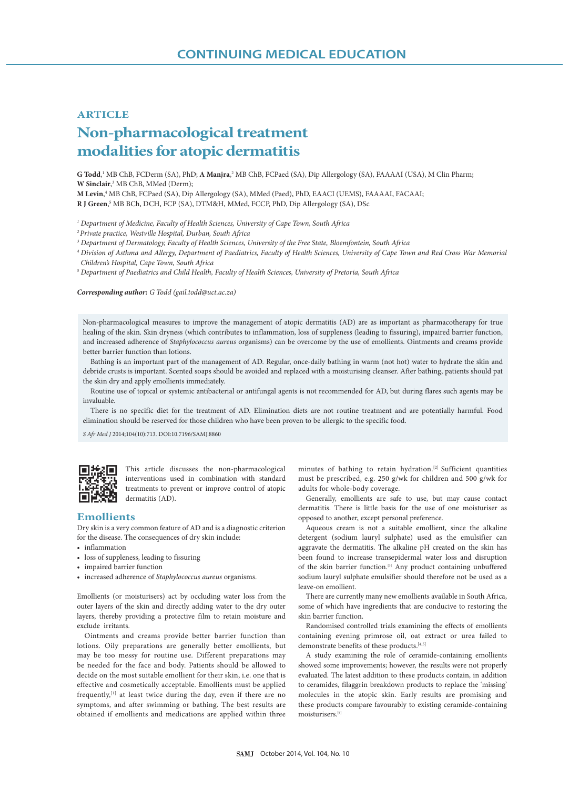# **ARTICLE Non-pharmacological treatment modalities for atopic dermatitis**

G Todd,<sup>1</sup> MB ChB, FCDerm (SA), PhD; A Manjra,<sup>2</sup> MB ChB, FCPaed (SA), Dip Allergology (SA), FAAAAI (USA), M Clin Pharm; W Sinclair,<sup>3</sup> MB ChB, MMed (Derm);

**M Levin**, 4 MB ChB, FCPaed (SA), Dip Allergology (SA), MMed (Paed), PhD, EAACI (UEMS), FAAAAI, FACAAI;

**R J Green**, 5 MB BCh, DCH, FCP (SA), DTM&H, MMed, FCCP, PhD, Dip Allergology (SA), DSc

*<sup>1</sup> Department of Medicine, Faculty of Health Sciences, University of Cape Town, South Africa*

*2 Private practice, Westville Hospital, Durban, South Africa*

*<sup>3</sup> Department of Dermatology, Faculty of Health Sciences, University of the Free State, Bloemfontein, South Africa*

*<sup>4</sup> Division of Asthma and Allergy, Department of Paediatrics, Faculty of Health Sciences, University of Cape Town and Red Cross War Memorial Children's Hospital, Cape Town, South Africa*

*<sup>5</sup> Department of Paediatrics and Child Health, Faculty of Health Sciences, University of Pretoria, South Africa*

*Corresponding author: G Todd (gail.todd@uct.ac.za)*

Non-pharmacological measures to improve the management of atopic dermatitis (AD) are as important as pharmacotherapy for true healing of the skin. Skin dryness (which contributes to inflammation, loss of suppleness (leading to fissuring), impaired barrier function, and increased adherence of *Staphylococcus aureus* organisms) can be overcome by the use of emollients. Ointments and creams provide better barrier function than lotions.

Bathing is an important part of the management of AD. Regular, once-daily bathing in warm (not hot) water to hydrate the skin and debride crusts is important. Scented soaps should be avoided and replaced with a moisturising cleanser. After bathing, patients should pat the skin dry and apply emollients immediately.

Routine use of topical or systemic antibacterial or antifungal agents is not recommended for AD, but during flares such agents may be invaluable.

There is no specific diet for the treatment of AD. Elimination diets are not routine treatment and are potentially harmful. Food elimination should be reserved for those children who have been proven to be allergic to the specific food.

*S Afr Med J* 2014;104(10):713. DOI:10.7196/SAMJ.8860



This article discusses the non-pharmacological interventions used in combination with standard treatments to prevent or improve control of atopic dermatitis (AD).

### **Emollients**

Dry skin is a very common feature of AD and is a diagnostic criterion for the disease. The consequences of dry skin include:

- inflammation
- loss of suppleness, leading to fissuring
- impaired barrier function
- increased adherence of *Staphylococcus aureus* organisms.

Emollients (or moisturisers) act by occluding water loss from the outer layers of the skin and directly adding water to the dry outer layers, thereby providing a protective film to retain moisture and exclude irritants.

Ointments and creams provide better barrier function than lotions. Oily preparations are generally better emollients, but may be too messy for routine use. Different preparations may be needed for the face and body. Patients should be allowed to decide on the most suitable emollient for their skin, i.e. one that is effective and cosmetically acceptable. Emollients must be applied frequently,<sup>[1]</sup> at least twice during the day, even if there are no symptoms, and after swimming or bathing. The best results are obtained if emollients and medications are applied within three

minutes of bathing to retain hydration.[2] Sufficient quantities must be prescribed, e.g. 250 g/wk for children and 500 g/wk for adults for whole-body coverage.

Generally, emollients are safe to use, but may cause contact dermatitis. There is little basis for the use of one moisturiser as opposed to another, except personal preference.

Aqueous cream is not a suitable emollient, since the alkaline detergent (sodium lauryl sulphate) used as the emulsifier can aggravate the dermatitis. The alkaline pH created on the skin has been found to increase transepidermal water loss and disruption of the skin barrier function.[3] Any product containing unbuffered sodium lauryl sulphate emulsifier should therefore not be used as a leave-on emollient.

There are currently many new emollients available in South Africa, some of which have ingredients that are conducive to restoring the skin barrier function.

Randomised controlled trials examining the effects of emollients containing evening primrose oil, oat extract or urea failed to demonstrate benefits of these products. [4,5]

A study examining the role of ceramide-containing emollients showed some improvements; however, the results were not properly evaluated. The latest addition to these products contain, in addition to ceramides, filaggrin breakdown products to replace the 'missing' molecules in the atopic skin. Early results are promising and these products compare favourably to existing ceramide-containing moisturisers.<sup>[6]</sup>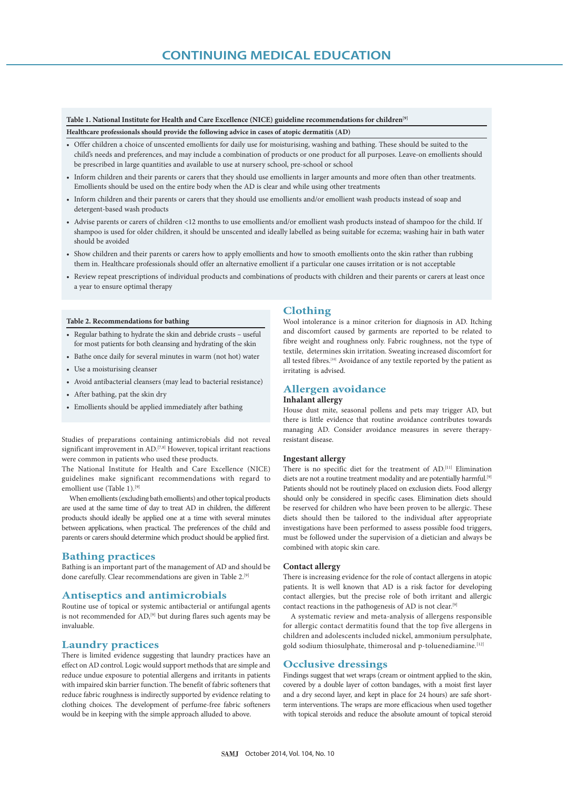## **Table 1. National Institute for Health and Care Excellence (NICE) guideline recommendations for children[9]**

**Healthcare professionals should provide the following advice in cases of atopic dermatitis (AD)** 

- Offer children a choice of unscented emollients for daily use for moisturising, washing and bathing. These should be suited to the child's needs and preferences, and may include a combination of products or one product for all purposes. Leave-on emollients should be prescribed in large quantities and available to use at nursery school, pre-school or school
- Inform children and their parents or carers that they should use emollients in larger amounts and more often than other treatments. Emollients should be used on the entire body when the AD is clear and while using other treatments
- Inform children and their parents or carers that they should use emollients and/or emollient wash products instead of soap and detergent-based wash products
- Advise parents or carers of children <12 months to use emollients and/or emollient wash products instead of shampoo for the child. If shampoo is used for older children, it should be unscented and ideally labelled as being suitable for eczema; washing hair in bath water should be avoided
- Show children and their parents or carers how to apply emollients and how to smooth emollients onto the skin rather than rubbing them in. Healthcare professionals should offer an alternative emollient if a particular one causes irritation or is not acceptable
- Review repeat prescriptions of individual products and combinations of products with children and their parents or carers at least once a year to ensure optimal therapy

#### **Table 2. Recommendations for bathing**

- Regular bathing to hydrate the skin and debride crusts useful for most patients for both cleansing and hydrating of the skin
- Bathe once daily for several minutes in warm (not hot) water
- Use a moisturising cleanser
- Avoid antibacterial cleansers (may lead to bacterial resistance)
- After bathing, pat the skin dry
- Emollients should be applied immediately after bathing

Studies of preparations containing antimicrobials did not reveal significant improvement in AD.<sup>[7,8]</sup> However, topical irritant reactions were common in patients who used these products.

The National Institute for Health and Care Excellence (NICE) guidelines make significant recommendations with regard to emollient use (Table 1).<sup>[9]</sup>

When emollients (excluding bath emollients) and other topical products are used at the same time of day to treat AD in children, the different products should ideally be applied one at a time with several minutes between applications, when practical. The preferences of the child and parents or carers should determine which product should be applied first.

### **Bathing practices**

Bathing is an important part of the management of AD and should be done carefully. Clear recommendations are given in Table 2.<sup>[9]</sup>

### **Antiseptics and antimicrobials**

Routine use of topical or systemic antibacterial or antifungal agents is not recommended for AD,<sup>[9]</sup> but during flares such agents may be invaluable.

## **Laundry practices**

There is limited evidence suggesting that laundry practices have an effect on AD control. Logic would support methods that are simple and reduce undue exposure to potential allergens and irritants in patients with impaired skin barrier function. The benefit of fabric softeners that reduce fabric roughness is indirectly supported by evidence relating to clothing choices. The development of perfume-free fabric softeners would be in keeping with the simple approach alluded to above.

#### **Clothing**

Wool intolerance is a minor criterion for diagnosis in AD. Itching and discomfort caused by garments are reported to be related to fibre weight and roughness only. Fabric roughness, not the type of textile, determines skin irritation. Sweating increased discomfort for all tested fibres.<sup>[10]</sup> Avoidance of any textile reported by the patient as irritating is advised.

### **Allergen avoidance Inhalant allergy**

House dust mite, seasonal pollens and pets may trigger AD, but there is little evidence that routine avoidance contributes towards managing AD. Consider avoidance measures in severe therapyresistant disease.

#### **Ingestant allergy**

There is no specific diet for the treatment of AD.[11] Elimination diets are not a routine treatment modality and are potentially harmful.<sup>[9]</sup> Patients should not be routinely placed on exclusion diets. Food allergy should only be considered in specific cases. Elimination diets should be reserved for children who have been proven to be allergic. These diets should then be tailored to the individual after appropriate investigations have been performed to assess possible food triggers, must be followed under the supervision of a dietician and always be combined with atopic skin care.

#### **Contact allergy**

There is increasing evidence for the role of contact allergens in atopic patients. It is well known that AD is a risk factor for developing contact allergies, but the precise role of both irritant and allergic contact reactions in the pathogenesis of AD is not clear.[9]

A systematic review and meta-analysis of allergens responsible for allergic contact dermatitis found that the top five allergens in children and adolescents included nickel, ammonium persulphate, gold sodium thiosulphate, thimerosal and p-toluenediamine.<sup>[12]</sup>

### **Occlusive dressings**

Findings suggest that wet wraps (cream or ointment applied to the skin, covered by a double layer of cotton bandages, with a moist first layer and a dry second layer, and kept in place for 24 hours) are safe shortterm interventions. The wraps are more efficacious when used together with topical steroids and reduce the absolute amount of topical steroid